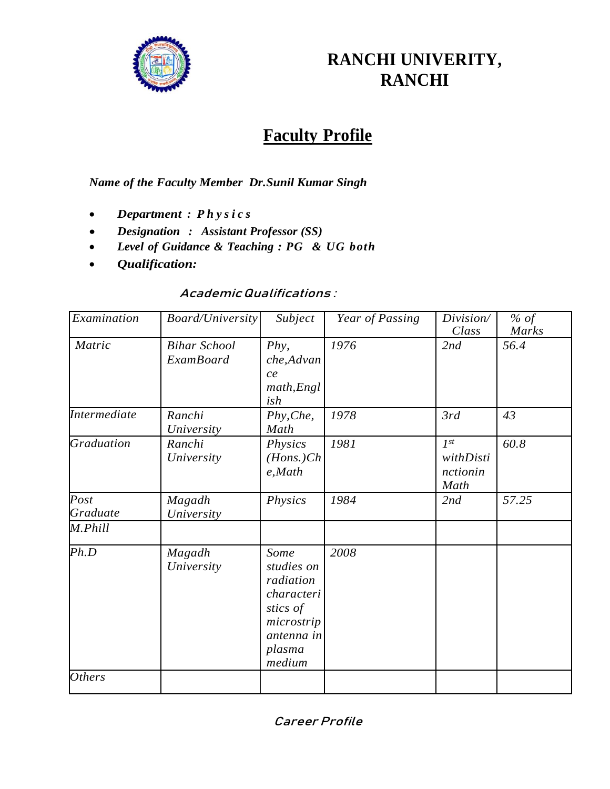

# **RANCHI UNIVERITY, RANCHI**

# **Faculty Profile**

*Name of the Faculty Member Dr.Sunil Kumar Singh* 

- *Department : P h y s i c s*
- *Designation : Assistant Professor (SS)*
- *Level of Guidance & Teaching : PG & UG both*
- *Qualification:*

### Academic Qualifications :

| Examination         | <b>Board/University</b>                 | Subject                                                                                                   | Year of Passing | Division/<br>Class                        | % of<br>Marks |
|---------------------|-----------------------------------------|-----------------------------------------------------------------------------------------------------------|-----------------|-------------------------------------------|---------------|
| Matric              | <b>Bihar School</b><br><b>ExamBoard</b> | $Phy$ ,<br>che, Advan<br>ce<br>math, Engl<br>ish                                                          | 1976            | 2nd                                       | 56.4          |
| <b>Intermediate</b> | Ranchi<br>University                    | Phy, Che,<br>Math                                                                                         | 1978            | 3rd                                       | 43            |
| <b>Graduation</b>   | Ranchi<br>University                    | Physics<br>$(Hons.)$ Ch<br>e, Math                                                                        | 1981            | $I^{st}$<br>withDisti<br>nctionin<br>Math | 60.8          |
| Post<br>Graduate    | Magadh<br>University                    | Physics                                                                                                   | 1984            | 2nd                                       | 57.25         |
| M.Phill             |                                         |                                                                                                           |                 |                                           |               |
| Ph.D                | Magadh<br>University                    | Some<br>studies on<br>radiation<br>characteri<br>stics of<br>microstrip<br>antenna in<br>plasma<br>medium | 2008            |                                           |               |
| <b>Others</b>       |                                         |                                                                                                           |                 |                                           |               |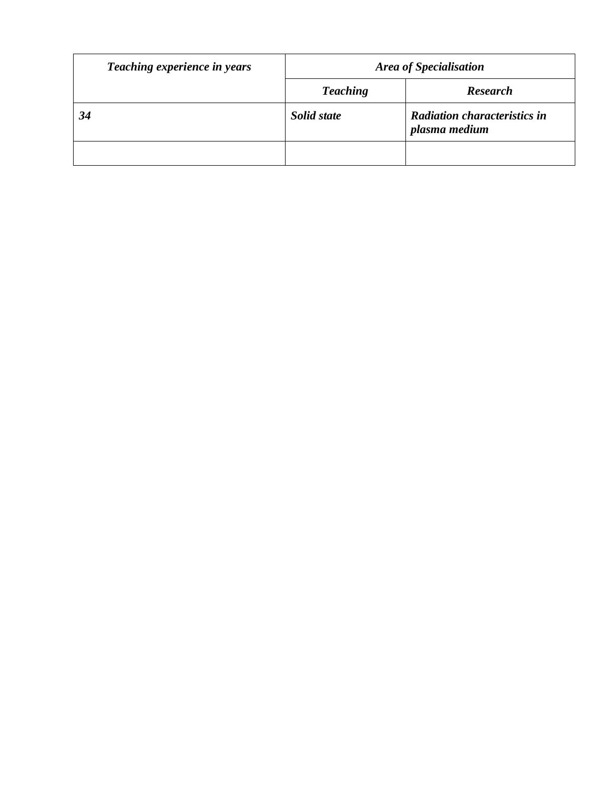| Teaching experience in years | <b>Area of Specialisation</b> |                                                      |  |
|------------------------------|-------------------------------|------------------------------------------------------|--|
|                              | <b>Teaching</b>               | <b>Research</b>                                      |  |
| 34                           | Solid state                   | <b>Radiation characteristics in</b><br>plasma medium |  |
|                              |                               |                                                      |  |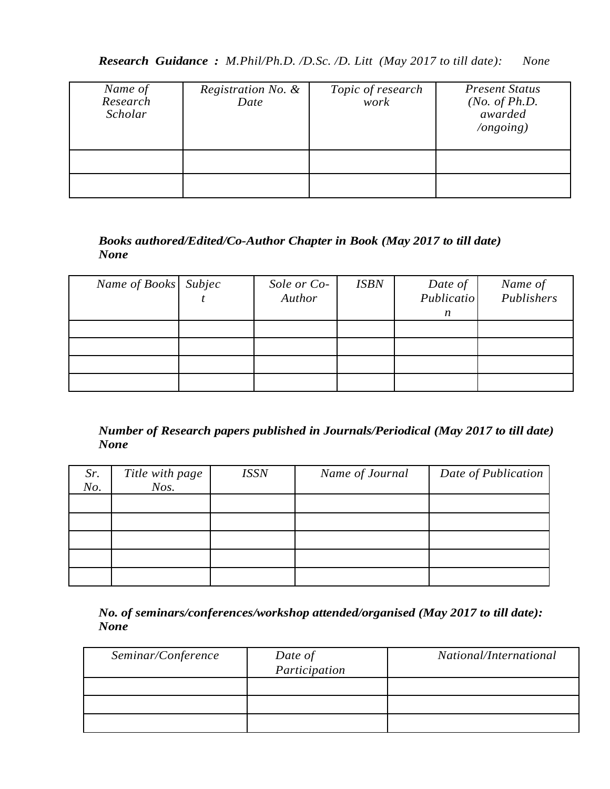| Name of<br>Research<br>Scholar | Registration No. &<br>Date | Topic of research<br>work | <b>Present Status</b><br>( <i>No. of Ph.D.</i><br>awarded<br>$\log o$ ing) |
|--------------------------------|----------------------------|---------------------------|----------------------------------------------------------------------------|
|                                |                            |                           |                                                                            |
|                                |                            |                           |                                                                            |

### *Books authored/Edited/Co-Author Chapter in Book (May 2017 to till date) None*

| Name of Books Subjec | Sole or Co-<br>Author | <b>ISBN</b> | Date of<br>Publicatio<br>n | Name of<br>Publishers |
|----------------------|-----------------------|-------------|----------------------------|-----------------------|
|                      |                       |             |                            |                       |
|                      |                       |             |                            |                       |
|                      |                       |             |                            |                       |
|                      |                       |             |                            |                       |

#### *Number of Research papers published in Journals/Periodical (May 2017 to till date) None*

| Sr.<br>No. | Title with page<br>$N$ os. | <b>ISSN</b> | Name of Journal | Date of Publication |
|------------|----------------------------|-------------|-----------------|---------------------|
|            |                            |             |                 |                     |
|            |                            |             |                 |                     |
|            |                            |             |                 |                     |
|            |                            |             |                 |                     |
|            |                            |             |                 |                     |

*No. of seminars/conferences/workshop attended/organised (May 2017 to till date): None*

| Seminar/Conference | Date of       | National/International |
|--------------------|---------------|------------------------|
|                    | Participation |                        |
|                    |               |                        |
|                    |               |                        |
|                    |               |                        |
|                    |               |                        |